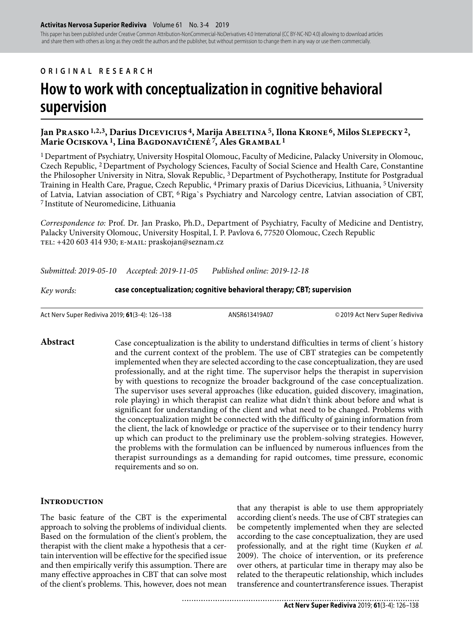This paper has been published under Creative Common Attribution-NonCommercial-NoDerivatives 4.0 International (CC BY-NC-ND 4.0) allowing to download articles and share them with others as long as they credit the authors and the publisher, but without permission to change them in any way or use them commercially.

## **ORIGINAL RESEARCH**

# **How to work with conceptualization in cognitive behavioral supervision**

## Jan Prasko <sup>1,2,3</sup>, Darius Dicevicius<sup>4</sup>, Marija Abeltina<sup>5</sup>, Ilona Krone<sup>6</sup>, Milos Slepecky<sup>2</sup>, **Marie Ociskova 1, Lina Bagdonavičienė 7, Ales Grambal 1**

1 Department of Psychiatry, University Hospital Olomouc, Faculty of Medicine, Palacky University in Olomouc, Czech Republic, 2 Department of Psychology Sciences, Faculty of Social Science and Health Care, Constantine the Philosopher University in Nitra, Slovak Republic, 3 Department of Psychotherapy, Institute for Postgradual Training in Health Care, Prague, Czech Republic, <sup>4</sup> Primary praxis of Darius Dicevicius, Lithuania, <sup>5</sup> University of Latvia, Latvian association of CBT, 6 Riga`s Psychiatry and Narcology centre, Latvian association of CBT, 7 Institute of Neuromedicine, Lithuania

*Correspondence to:* Prof. Dr. Jan Prasko, Ph.D., Department of Psychiatry, Faculty of Medicine and Dentistry, Palacky University Olomouc, University Hospital, I. P. Pavlova 6, 77520 Olomouc, Czech Republic tel: +420 603 414 930; e-mail: praskojan@seznam.cz

*Submitted: 2019-05-10 Accepted: 2019-11-05 Published online: 2019-12-18*

*Key words:* **case conceptualization; cognitive behavioral therapy; CBT; supervision**

Act Nerv Super Rediviva 2019; **61**(3-4): 126–138 ANSR613419A07 © 2019 Act Nerv Super Rediviva

#### Abstract Case conceptualization is the ability to understand difficulties in terms of client's history and the current context of the problem. The use of CBT strategies can be competently implemented when they are selected according to the case conceptualization, they are used professionally, and at the right time. The supervisor helps the therapist in supervision by with questions to recognize the broader background of the case conceptualization. The supervisor uses several approaches (like education, guided discovery, imagination, role playing) in which therapist can realize what didn't think about before and what is significant for understanding of the client and what need to be changed. Problems with the conceptualization might be connected with the difficulty of gaining information from the client, the lack of knowledge or practice of the supervisee or to their tendency hurry up which can product to the preliminary use the problem-solving strategies. However, the problems with the formulation can be influenced by numerous influences from the therapist surroundings as a demanding for rapid outcomes, time pressure, economic requirements and so on.

#### **INTRODUCTION**

The basic feature of the CBT is the experimental approach to solving the problems of individual clients. Based on the formulation of the client's problem, the therapist with the client make a hypothesis that a certain intervention will be effective for the specified issue and then empirically verify this assumption. There are many effective approaches in CBT that can solve most of the client's problems. This, however, does not mean

that any therapist is able to use them appropriately according client's needs. The use of CBT strategies can be competently implemented when they are selected according to the case conceptualization, they are used professionally, and at the right time (Kuyken *et al.* 2009). The choice of intervention, or its preference over others, at particular time in therapy may also be related to the therapeutic relationship, which includes transference and countertransference issues. Therapist

..................................... **Act Nerv Super Rediviva** 2019; **61**(3-4): 126–138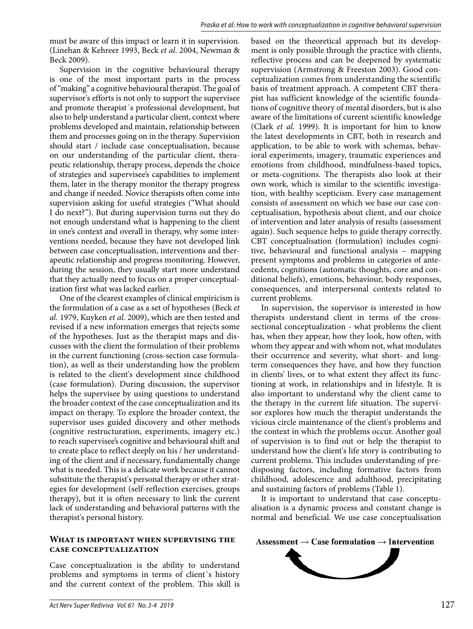must be aware of this impact or learn it in supervision. (Linehan & Kehreer 1993, Beck *et al.* 2004, Newman & Beck 2009).

Supervision in the cognitive behavioural therapy is one of the most important parts in the process of "making" a cognitive behavioural therapist. The goal of supervisor's efforts is not only to support the supervisee and promote therapist´s professional development, but also to help understand a particular client, context where problems developed and maintain, relationship between them and processes going on in the therapy. Supervision should start / include case conceptualisation, because on our understanding of the particular client, therapeutic relationship, therapy process, depends the choice of strategies and supervisee's capabilities to implement them, later in the therapy monitor the therapy progress and change if needed. Novice therapists often come into supervision asking for useful strategies ("What should I do next?"). But during supervision turns out they do not enough understand what is happening to the client in one's context and overall in therapy, why some interventions needed, because they have not developed link between case conceptualisation, interventions and therapeutic relationship and progress monitoring. However, during the session, they usually start more understand that they actually need to focus on a proper conceptualization first what was lacked earlier.

One of the clearest examples of clinical empiricism is the formulation of a case as a set of hypotheses (Beck *et al.* 1979, Kuyken *et al.* 2009), which are then tested and revised if a new information emerges that rejects some of the hypotheses. Just as the therapist maps and discusses with the client the formulation of their problems in the current functioning (cross-section case formulation), as well as their understanding how the problem is related to the client's development since childhood (case formulation). During discussion, the supervisor helps the supervisee by using questions to understand the broader context of the case conceptualization and its impact on therapy. To explore the broader context, the supervisor uses guided discovery and other methods (cognitive restructuration, experiments, imagery etc.) to reach supervisee's cognitive and behavioural shift and to create place to reflect deeply on his / her understanding of the client and if necessary, fundamentally change what is needed. This is a delicate work because it cannot substitute the therapist's personal therapy or other strategies for development (self-reflection exercises, groups therapy), but it is often necessary to link the current lack of understanding and behavioral patterns with the therapist's personal history.

#### **What is important when supervising the case conceptualization**

Case conceptualization is the ability to understand problems and symptoms in terms of client´s history and the current context of the problem. This skill is based on the theoretical approach but its development is only possible through the practice with clients, reflective process and can be deepened by systematic supervision (Armstrong & Freeston 2003). Good conceptualization comes from understanding the scientific basis of treatment approach. A competent CBT therapist has sufficient knowledge of the scientific foundations of cognitive theory of mental disorders, but is also aware of the limitations of current scientific knowledge (Clark *et al.* 1999). It is important for him to know the latest developments in CBT, both in research and application, to be able to work with schemas, behavioral experiments, imagery, traumatic experiences and emotions from childhood, mindfulness-based topics, or meta-cognitions. The therapists also look at their own work, which is similar to the scientific investigation, with healthy scepticism. Every case management consists of assessment on which we base our case conceptualisation, hypothesis about client, and our choice of intervention and later analysis of results (assessment again). Such sequence helps to guide therapy correctly. CBT conceptualisation (formulation) includes cognitive, behavioural and functional analysis – mapping present symptoms and problems in categories of antecedents, cognitions (automatic thoughts, core and conditional beliefs), emotions, behaviour, body responses, consequences, and interpersonal contexts related to current problems.

In supervision, the supervisor is interested in how therapists understand client in terms of the crosssectional conceptualization - what problems the client has, when they appear, how they look, how often, with whom they appear and with whom not, what modulates their occurrence and severity, what short- and longterm consequences they have, and how they function in clients' lives, or to what extent they affect its functioning at work, in relationships and in lifestyle. It is also important to understand why the client came to the therapy in the current life situation. The supervisor explores how much the therapist understands the vicious circle maintenance of the client's problems and the context in which the problems occur. Another goal of supervision is to find out or help the therapist to understand how the client's life story is contributing to current problems. This includes understanding of predisposing factors, including formative factors from childhood, adolescence and adulthood, precipitating and sustaining factors of problems (Table 1).

It is important to understand that case conceptualisation is a dynamic process and constant change is normal and beneficial. We use case conceptualisation



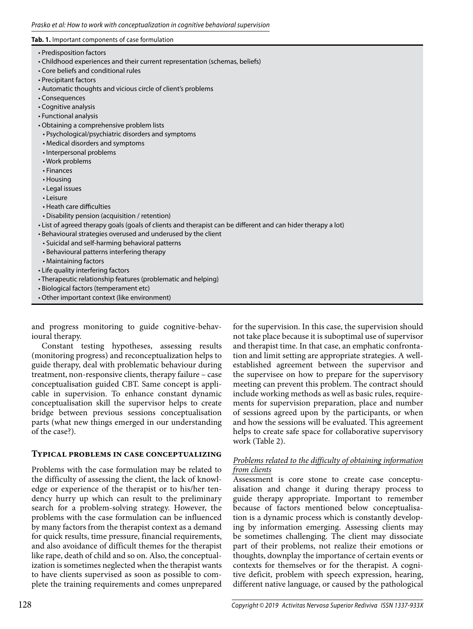#### **Tab. 1.** Important components of case formulation

- Predisposition factors
- Childhood experiences and their current representation (schemas, beliefs)
- Core beliefs and conditional rules
- Precipitant factors
- Automatic thoughts and vicious circle of client's problems
- Consequences
- Cognitive analysis
- Functional analysis
- Obtaining a comprehensive problem lists
- Psychological/psychiatric disorders and symptoms
- Medical disorders and symptoms
- Interpersonal problems
- Work problems
- Finances
- Housing
- Legal issues
- Leisure
- Heath care difficulties
- Disability pension (acquisition / retention)
- List of agreed therapy goals (goals of clients and therapist can be different and can hider therapy a lot)
- Behavioural strategies overused and underused by the client
	- Suicidal and self-harming behavioral patterns
	- Behavioural patterns interfering therapy
- Maintaining factors
- Life quality interfering factors
- Therapeutic relationship features (problematic and helping)
- Biological factors (temperament etc)
- Other important context (like environment)

and progress monitoring to guide cognitive-behavioural therapy.

Constant testing hypotheses, assessing results (monitoring progress) and reconceptualization helps to guide therapy, deal with problematic behaviour during treatment, non-responsive clients, therapy failure – case conceptualisation guided CBT. Same concept is applicable in supervision. To enhance constant dynamic conceptualisation skill the supervisor helps to create bridge between previous sessions conceptualisation parts (what new things emerged in our understanding of the case?).

#### **Typical problems in case conceptualizing**

Problems with the case formulation may be related to the difficulty of assessing the client, the lack of knowledge or experience of the therapist or to his/her tendency hurry up which can result to the preliminary search for a problem-solving strategy. However, the problems with the case formulation can be influenced by many factors from the therapist context as a demand for quick results, time pressure, financial requirements, and also avoidance of difficult themes for the therapist like rape, death of child and so on. Also, the conceptualization is sometimes neglected when the therapist wants to have clients supervised as soon as possible to complete the training requirements and comes unprepared

for the supervision. In this case, the supervision should not take place because it is suboptimal use of supervisor and therapist time. In that case, an emphatic confrontation and limit setting are appropriate strategies. A wellestablished agreement between the supervisor and the supervisee on how to prepare for the supervisory meeting can prevent this problem. The contract should include working methods as well as basic rules, requirements for supervision preparation, place and number of sessions agreed upon by the participants, or when and how the sessions will be evaluated. This agreement helps to create safe space for collaborative supervisory work (Table 2).

#### *Problems related to the difficulty of obtaining information from clients*

Assessment is core stone to create case conceptualisation and change it during therapy process to guide therapy appropriate. Important to remember because of factors mentioned below conceptualisation is a dynamic process which is constantly developing by information emerging. Assessing clients may be sometimes challenging. The client may dissociate part of their problems, not realize their emotions or thoughts, downplay the importance of certain events or contexts for themselves or for the therapist. A cognitive deficit, problem with speech expression, hearing, different native language, or caused by the pathological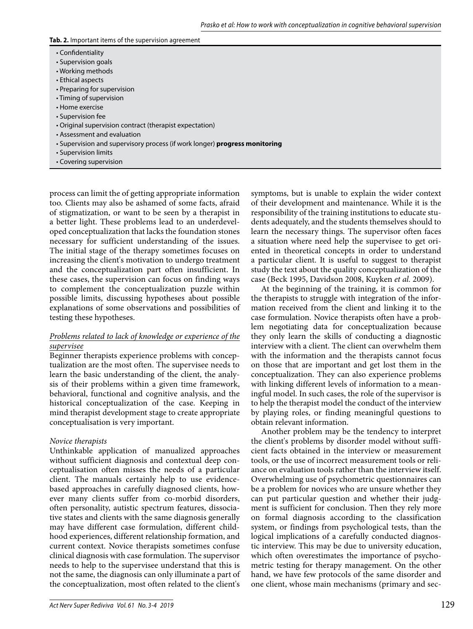#### **Tab. 2.** Important items of the supervision agreement

- Confidentiality
- Supervision goals
- Working methods
- Ethical aspects
- Preparing for supervision
- Timing of supervision
- Home exercise
- Supervision fee
- Original supervision contract (therapist expectation)
- Assessment and evaluation
- Supervision and supervisory process (if work longer) **progress monitoring**
- Supervision limits
- Covering supervision

process can limit the of getting appropriate information too. Clients may also be ashamed of some facts, afraid of stigmatization, or want to be seen by a therapist in a better light. These problems lead to an underdeveloped conceptualization that lacks the foundation stones necessary for sufficient understanding of the issues. The initial stage of the therapy sometimes focuses on increasing the client's motivation to undergo treatment and the conceptualization part often insufficient. In these cases, the supervision can focus on finding ways to complement the conceptualization puzzle within possible limits, discussing hypotheses about possible explanations of some observations and possibilities of testing these hypotheses.

#### *Problems related to lack of knowledge or experience of the supervisee*

Beginner therapists experience problems with conceptualization are the most often. The supervisee needs to learn the basic understanding of the client, the analysis of their problems within a given time framework, behavioral, functional and cognitive analysis, and the historical conceptualization of the case. Keeping in mind therapist development stage to create appropriate conceptualisation is very important.

## *Novice therapists*

Unthinkable application of manualized approaches without sufficient diagnosis and contextual deep conceptualisation often misses the needs of a particular client. The manuals certainly help to use evidencebased approaches in carefully diagnosed clients, however many clients suffer from co-morbid disorders, often personality, autistic spectrum features, dissociative states and clients with the same diagnosis generally may have different case formulation, different childhood experiences, different relationship formation, and current context. Novice therapists sometimes confuse clinical diagnosis with case formulation. The supervisor needs to help to the supervisee understand that this is not the same, the diagnosis can only illuminate a part of the conceptualization, most often related to the client's

symptoms, but is unable to explain the wider context of their development and maintenance. While it is the responsibility of the training institutions to educate students adequately, and the students themselves should to learn the necessary things. The supervisor often faces a situation where need help the supervisee to get oriented in theoretical concepts in order to understand a particular client. It is useful to suggest to therapist study the text about the quality conceptualization of the case (Beck 1995, Davidson 2008, Kuyken *et al.* 2009).

At the beginning of the training, it is common for the therapists to struggle with integration of the information received from the client and linking it to the case formulation. Novice therapists often have a problem negotiating data for conceptualization because they only learn the skills of conducting a diagnostic interview with a client. The client can overwhelm them with the information and the therapists cannot focus on those that are important and get lost them in the conceptualization. They can also experience problems with linking different levels of information to a meaningful model. In such cases, the role of the supervisor is to help the therapist model the conduct of the interview by playing roles, or finding meaningful questions to obtain relevant information.

Another problem may be the tendency to interpret the client's problems by disorder model without sufficient facts obtained in the interview or measurement tools, or the use of incorrect measurement tools or reliance on evaluation tools rather than the interview itself. Overwhelming use of psychometric questionnaires can be a problem for novices who are unsure whether they can put particular question and whether their judgment is sufficient for conclusion. Then they rely more on formal diagnosis according to the classification system, or findings from psychological tests, than the logical implications of a carefully conducted diagnostic interview. This may be due to university education, which often overestimates the importance of psychometric testing for therapy management. On the other hand, we have few protocols of the same disorder and one client, whose main mechanisms (primary and sec-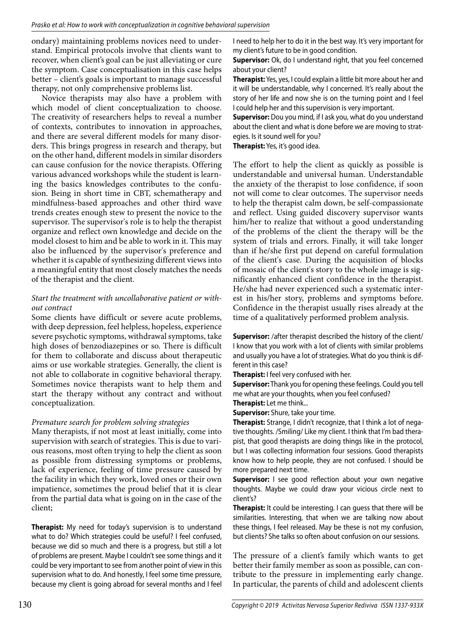ondary) maintaining problems novices need to understand. Empirical protocols involve that clients want to recover, when client's goal can be just alleviating or cure the symptom. Case conceptualisation in this case helps better – client's goals is important to manage successful therapy, not only comprehensive problems list.

Novice therapists may also have a problem with which model of client conceptualization to choose. The creativity of researchers helps to reveal a number of contexts, contributes to innovation in approaches, and there are several different models for many disorders. This brings progress in research and therapy, but on the other hand, different models in similar disorders can cause confusion for the novice therapists. Offering various advanced workshops while the student is learning the basics knowledges contributes to the confusion. Being in short time in CBT, schematherapy and mindfulness-based approaches and other third wave trends creates enough stew to present the novice to the supervisor. The supervisor's role is to help the therapist organize and reflect own knowledge and decide on the model closest to him and be able to work in it. This may also be influenced by the supervisor's preference and whether it is capable of synthesizing different views into a meaningful entity that most closely matches the needs of the therapist and the client.

# *Start the treatment with uncollaborative patient or without contract*

Some clients have difficult or severe acute problems, with deep depression, feel helpless, hopeless, experience severe psychotic symptoms, withdrawal symptoms, take high doses of benzodiazepines or so. There is difficult for them to collaborate and discuss about therapeutic aims or use workable strategies. Generally, the client is not able to collaborate in cognitive behavioral therapy. Sometimes novice therapists want to help them and start the therapy without any contract and without conceptualization.

# *Premature search for problem solving strategies*

Many therapists, if not most at least initially, come into supervision with search of strategies. This is due to various reasons, most often trying to help the client as soon as possible from distressing symptoms or problems, lack of experience, feeling of time pressure caused by the facility in which they work, loved ones or their own impatience, sometimes the proud belief that it is clear from the partial data what is going on in the case of the client;

**Therapist:** My need for today's supervision is to understand what to do? Which strategies could be useful? I feel confused, because we did so much and there is a progress, but still a lot of problems are present. Maybe I couldn't see some things and it could be very important to see from another point of view in this supervision what to do. And honestly, I feel some time pressure, because my client is going abroad for several months and I feel

I need to help her to do it in the best way. It's very important for my client's future to be in good condition.

**Supervisor:** Ok, do I understand right, that you feel concerned about your client?

**Therapist:** Yes, yes, I could explain a little bit more about her and it will be understandable, why I concerned. It's really about the story of her life and now she is on the turning point and I feel I could help her and this supervision is very important.

**Supervisor:** Dou you mind, if I ask you, what do you understand about the client and what is done before we are moving to strategies. Is it sound well for you?

**Therapist:** Yes, it's good idea.

The effort to help the client as quickly as possible is understandable and universal human. Understandable the anxiety of the therapist to lose confidence, if soon not will come to clear outcomes. The supervisor needs to help the therapist calm down, be self-compassionate and reflect. Using guided discovery supervisor wants him/her to realize that without a good understanding of the problems of the client the therapy will be the system of trials and errors. Finally, it will take longer than if he/she first put depend on careful formulation of the client's case. During the acquisition of blocks of mosaic of the client's story to the whole image is significantly enhanced client confidence in the therapist. He/she had never experienced such a systematic interest in his/her story, problems and symptoms before. Confidence in the therapist usually rises already at the time of a qualitatively performed problem analysis.

**Supervisor:** /after therapist described the history of the client/ I know that you work with a lot of clients with similar problems and usually you have a lot of strategies. What do you think is different in this case?

**Therapist:** I feel very confused with her.

**Supervisor:** Thank you for opening these feelings. Could you tell me what are your thoughts, when you feel confused? **Therapist:** Let me think...

**Supervisor:** Shure, take your time.

**Therapist:** Strange, I didn't recognize, that I think a lot of negative thoughts. /Smiling/ Like my client. I think that I'm bad therapist, that good therapists are doing things like in the protocol, but I was collecting information four sessions. Good therapists know how to help people, they are not confused. I should be more prepared next time.

**Supervisor:** I see good reflection about your own negative thoughts. Maybe we could draw your vicious circle next to client's?

**Therapist:** It could be interesting. I can guess that there will be similarities. Interesting, that when we are talking now about these things, I feel released. May be these is not my confusion, but clients? She talks so often about confusion on our sessions.

The pressure of a client's family which wants to get better their family member as soon as possible, can contribute to the pressure in implementing early change. In particular, the parents of child and adolescent clients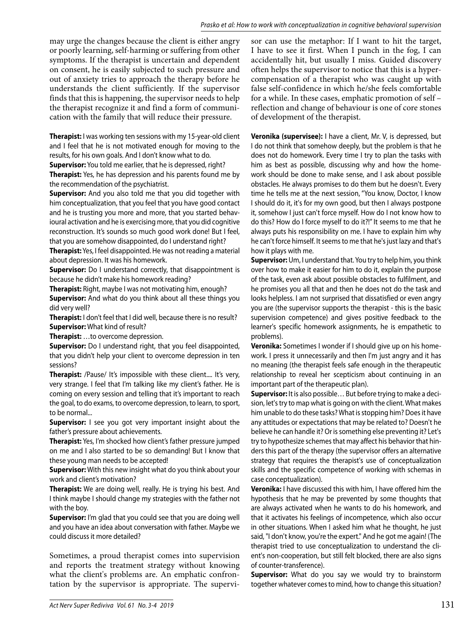may urge the changes because the client is either angry or poorly learning, self-harming or suffering from other symptoms. If the therapist is uncertain and dependent on consent, he is easily subjected to such pressure and out of anxiety tries to approach the therapy before he understands the client sufficiently. If the supervisor finds that this is happening, the supervisor needs to help the therapist recognize it and find a form of communication with the family that will reduce their pressure.

**Therapist:** I was working ten sessions with my 15-year-old client and I feel that he is not motivated enough for moving to the results, for his own goals. And I don't know what to do.

**Supervisor:** You told me earlier, that he is depressed, right?

**Therapist:** Yes, he has depression and his parents found me by the recommendation of the psychiatrist.

**Supervisor:** And you also told me that you did together with him conceptualization, that you feel that you have good contact and he is trusting you more and more, that you started behavioural activation and he is exercising more, that you did cognitive reconstruction. It's sounds so much good work done! But I feel, that you are somehow disappointed, do I understand right?

**Therapist:** Yes, I feel disappointed. He was not reading a material about depression. It was his homework.

**Supervisor:** Do I understand correctly, that disappointment is because he didn't make his homework reading?

**Therapist:** Right, maybe I was not motivating him, enough?

**Supervisor:** And what do you think about all these things you did very well?

**Therapist:** I don't feel that I did well, because there is no result? **Supervisor:** What kind of result?

**Therapist:** …to overcome depression.

**Supervisor:** Do I understand right, that you feel disappointed, that you didn't help your client to overcome depression in ten sessions?

**Therapist:** /Pause/ It's impossible with these client.... It's very, very strange. I feel that I'm talking like my client's father. He is coming on every session and telling that it's important to reach the goal, to do exams, to overcome depression, to learn, to sport, to be normal...

**Supervisor:** I see you got very important insight about the father's pressure about achievements.

**Therapist:** Yes, I'm shocked how client's father pressure jumped on me and I also started to be so demanding! But I know that these young man needs to be accepted!

**Supervisor:** With this new insight what do you think about your work and client's motivation?

**Therapist:** We are doing well, really. He is trying his best. And I think maybe I should change my strategies with the father not with the boy.

**Supervisor:** I'm glad that you could see that you are doing well and you have an idea about conversation with father. Maybe we could discuss it more detailed?

Sometimes, a proud therapist comes into supervision and reports the treatment strategy without knowing what the client's problems are. An emphatic confrontation by the supervisor is appropriate. The supervisor can use the metaphor: If I want to hit the target, I have to see it first. When I punch in the fog, I can accidentally hit, but usually I miss. Guided discovery often helps the supervisor to notice that this is a hypercompensation of a therapist who was caught up with false self-confidence in which he/she feels comfortable for a while. In these cases, emphatic promotion of self – reflection and change of behaviour is one of core stones of development of the therapist.

**Veronika (supervisee):** I have a client, Mr. V, is depressed, but I do not think that somehow deeply, but the problem is that he does not do homework. Every time I try to plan the tasks with him as best as possible, discussing why and how the homework should be done to make sense, and I ask about possible obstacles. He always promises to do them but he doesn't. Every time he tells me at the next session, "You know, Doctor, I know I should do it, it's for my own good, but then I always postpone it, somehow I just can't force myself. How do I not know how to do this? How do I force myself to do it?!" It seems to me that he always puts his responsibility on me. I have to explain him why he can't force himself. It seems to me that he's just lazy and that's how it plays with me.

**Supervisor:** Um, I understand that. You try to help him, you think over how to make it easier for him to do it, explain the purpose of the task, even ask about possible obstacles to fulfilment, and he promises you all that and then he does not do the task and looks helpless. I am not surprised that dissatisfied or even angry you are (the supervisor supports the therapist - this is the basic supervision competence) and gives positive feedback to the learner's specific homework assignments, he is empathetic to problems).

**Veronika:** Sometimes I wonder if I should give up on his homework. I press it unnecessarily and then I'm just angry and it has no meaning (the therapist feels safe enough in the therapeutic relationship to reveal her scepticism about continuing in an important part of the therapeutic plan).

**Supervisor:** It is also possible… But before trying to make a decision, let's try to map what is going on with the client. What makes him unable to do these tasks? What is stopping him? Does it have any attitudes or expectations that may be related to? Doesn't he believe he can handle it? Or is something else preventing it? Let's try to hypothesize schemes that may affect his behavior that hinders this part of the therapy (the supervisor offers an alternative strategy that requires the therapist's use of conceptualization skills and the specific competence of working with schemas in case conceptualization).

**Veronika:** I have discussed this with him, I have offered him the hypothesis that he may be prevented by some thoughts that are always activated when he wants to do his homework, and that it activates his feelings of incompetence, which also occur in other situations. When I asked him what he thought, he just said, "I don't know, you're the expert." And he got me again! (The therapist tried to use conceptualization to understand the client's non-cooperation, but still felt blocked, there are also signs of counter-transference).

**Supervisor:** What do you say we would try to brainstorm together whatever comes to mind, how to change this situation?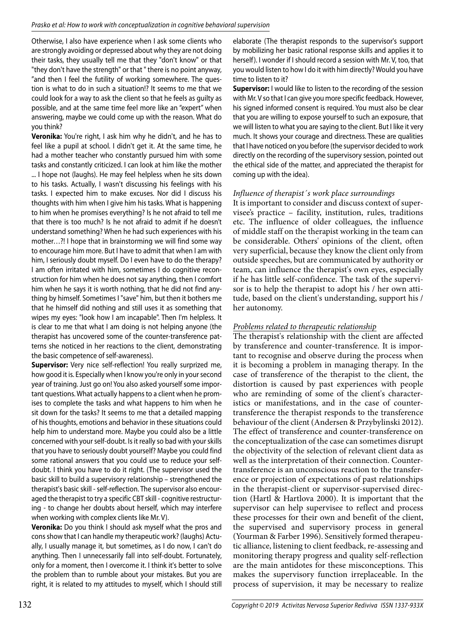Otherwise, I also have experience when I ask some clients who are strongly avoiding or depressed about why they are not doing their tasks, they usually tell me that they "don't know" or that "they don't have the strength" or that " there is no point anyway, "and then I feel the futility of working somewhere. The question is what to do in such a situation!? It seems to me that we could look for a way to ask the client so that he feels as guilty as possible, and at the same time feel more like an "expert" when answering, maybe we could come up with the reason. What do you think?

**Veronika:** You're right, I ask him why he didn't, and he has to feel like a pupil at school. I didn't get it. At the same time, he had a mother teacher who constantly pursued him with some tasks and constantly criticized. I can look at him like the mother ... I hope not (laughs). He may feel helpless when he sits down to his tasks. Actually, I wasn't discussing his feelings with his tasks. I expected him to make excuses. Nor did I discuss his thoughts with him when I give him his tasks. What is happening to him when he promises everything? Is he not afraid to tell me that there is too much? Is he not afraid to admit if he doesn't understand something? When he had such experiences with his mother…?! I hope that in brainstorming we will find some way to encourage him more. But I have to admit that when I am with him, I seriously doubt myself. Do I even have to do the therapy? I am often irritated with him, sometimes I do cognitive reconstruction for him when he does not say anything, then I comfort him when he says it is worth nothing, that he did not find anything by himself. Sometimes I "save" him, but then it bothers me that he himself did nothing and still uses it as something that wipes my eyes: "look how I am incapable". Then I'm helpless. It is clear to me that what I am doing is not helping anyone (the therapist has uncovered some of the counter-transference patterns she noticed in her reactions to the client, demonstrating the basic competence of self-awareness).

**Supervisor:** Very nice self-reflection! You really surprized me, how good it is. Especially when I know you're only in your second year of training. Just go on! You also asked yourself some important questions. What actually happens to a client when he promises to complete the tasks and what happens to him when he sit down for the tasks? It seems to me that a detailed mapping of his thoughts, emotions and behavior in these situations could help him to understand more. Maybe you could also be a little concerned with your self-doubt. Is it really so bad with your skills that you have to seriously doubt yourself? Maybe you could find some rational answers that you could use to reduce your selfdoubt. I think you have to do it right. (The supervisor used the basic skill to build a supervisory relationship – strengthened the therapist's basic skill - self-reflection. The supervisor also encouraged the therapist to try a specific CBT skill - cognitive restructuring - to change her doubts about herself, which may interfere when working with complex clients like Mr. V).

**Veronika:** Do you think I should ask myself what the pros and cons show that I can handle my therapeutic work? (laughs) Actually, I usually manage it, but sometimes, as I do now, I can't do anything. Then I unnecessarily fall into self-doubt. Fortunately, only for a moment, then I overcome it. I think it's better to solve the problem than to rumble about your mistakes. But you are right, it is related to my attitudes to myself, which I should still elaborate (The therapist responds to the supervisor's support by mobilizing her basic rational response skills and applies it to herself). I wonder if I should record a session with Mr. V, too, that you would listen to how I do it with him directly? Would you have time to listen to it?

**Supervisor:** I would like to listen to the recording of the session with Mr. V so that I can give you more specific feedback. However, his signed informed consent is required. You must also be clear that you are willing to expose yourself to such an exposure, that we will listen to what you are saying to the client. But I like it very much. It shows your courage and directness. These are qualities that I have noticed on you before (the supervisor decided to work directly on the recording of the supervisory session, pointed out the ethical side of the matter, and appreciated the therapist for coming up with the idea).

#### *Influence of therapist´s work place surroundings*

It is important to consider and discuss context of supervisee's practice – facility, institution, rules, traditions etc. The influence of older colleagues, the influence of middle staff on the therapist working in the team can be considerable. Others' opinions of the client, often very superficial, because they know the client only from outside speeches, but are communicated by authority or team, can influence the therapist's own eyes, especially if he has little self-confidence. The task of the supervisor is to help the therapist to adopt his / her own attitude, based on the client's understanding, support his / her autonomy.

## *Problems related to therapeutic relationship*

The therapist's relationship with the client are affected by transference and counter-transference. It is important to recognise and observe during the process when it is becoming a problem in managing therapy. In the case of transference of the therapist to the client, the distortion is caused by past experiences with people who are reminding of some of the client's characteristics or manifestations, and in the case of countertransference the therapist responds to the transference behaviour of the client (Andersen & Przybylinski 2012). The effect of transference and counter-transference on the conceptualization of the case can sometimes disrupt the objectivity of the selection of relevant client data as well as the interpretation of their connection. Countertransference is an unconscious reaction to the transference or projection of expectations of past relationships in the therapist-client or supervisor-supervised direction (Hartl & Hartlova 2000). It is important that the supervisor can help supervisee to reflect and process these processes for their own and benefit of the client, the supervised and supervisory process in general (Yourman & Farber 1996). Sensitively formed therapeutic alliance, listening to client feedback, re-assessing and monitoring therapy progress and quality self-reflection are the main antidotes for these misconceptions. This makes the supervisory function irreplaceable. In the process of supervision, it may be necessary to realize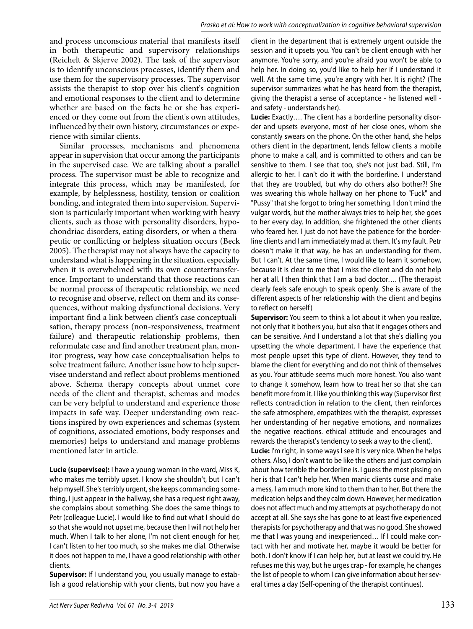and process unconscious material that manifests itself in both therapeutic and supervisory relationships (Reichelt & Skjerve 2002). The task of the supervisor is to identify unconscious processes, identify them and use them for the supervisory processes. The supervisor assists the therapist to stop over his client's cognition and emotional responses to the client and to determine whether are based on the facts he or she has experienced or they come out from the client's own attitudes, influenced by their own history, circumstances or experience with similar clients.

Similar processes, mechanisms and phenomena appear in supervision that occur among the participants in the supervised case. We are talking about a parallel process. The supervisor must be able to recognize and integrate this process, which may be manifested, for example, by helplessness, hostility, tension or coalition bonding, and integrated them into supervision. Supervision is particularly important when working with heavy clients, such as those with personality disorders, hypochondriac disorders, eating disorders, or when a therapeutic or conflicting or helpless situation occurs (Beck 2005). The therapist may not always have the capacity to understand what is happening in the situation, especially when it is overwhelmed with its own countertransference. Important to understand that those reactions can be normal process of therapeutic relationship, we need to recognise and observe, reflect on them and its consequences, without making dysfunctional decisions. Very important find a link between client's case conceptualisation, therapy process (non-responsiveness, treatment failure) and therapeutic relationship problems, then reformulate case and find another treatment plan, monitor progress, way how case conceptualisation helps to solve treatment failure. Another issue how to help supervisee understand and reflect about problems mentioned above. Schema therapy concepts about unmet core needs of the client and therapist, schemas and modes can be very helpful to understand and experience those impacts in safe way. Deeper understanding own reactions inspired by own experiences and schemas (system of cognitions, associated emotions, body responses and memories) helps to understand and manage problems mentioned later in article.

**Lucie (supervisee):** I have a young woman in the ward, Miss K, who makes me terribly upset. I know she shouldn't, but I can't help myself. She's terribly urgent, she keeps commanding something, I just appear in the hallway, she has a request right away, she complains about something. She does the same things to Petr (colleague Lucie). I would like to find out what I should do so that she would not upset me, because then I will not help her much. When I talk to her alone, I'm not client enough for her, I can't listen to her too much, so she makes me dial. Otherwise it does not happen to me, I have a good relationship with other clients.

**Supervisor:** If I understand you, you usually manage to establish a good relationship with your clients, but now you have a

client in the department that is extremely urgent outside the session and it upsets you. You can't be client enough with her anymore. You're sorry, and you're afraid you won't be able to help her. In doing so, you'd like to help her if I understand it well. At the same time, you're angry with her. It is right? (The supervisor summarizes what he has heard from the therapist, giving the therapist a sense of acceptance - he listened well and safety - understands her).

**Lucie:** Exactly…. The client has a borderline personality disorder and upsets everyone, most of her close ones, whom she constantly swears on the phone. On the other hand, she helps others client in the department, lends fellow clients a mobile phone to make a call, and is committed to others and can be sensitive to them. I see that too, she's not just bad. Still, I'm allergic to her. I can't do it with the borderline. I understand that they are troubled, but why do others also bother?! She was swearing this whole hallway on her phone to "Fuck" and "Pussy" that she forgot to bring her something. I don't mind the vulgar words, but the mother always tries to help her, she goes to her every day. In addition, she frightened the other clients who feared her. I just do not have the patience for the borderline clients and I am immediately mad at them. It's my fault. Petr doesn't make it that way, he has an understanding for them. But I can't. At the same time, I would like to learn it somehow, because it is clear to me that I miss the client and do not help her at all. I then think that I am a bad doctor…. (The therapist clearly feels safe enough to speak openly. She is aware of the different aspects of her relationship with the client and begins to reflect on herself )

**Supervisor:** You seem to think a lot about it when you realize, not only that it bothers you, but also that it engages others and can be sensitive. And I understand a lot that she's dialling you upsetting the whole department. I have the experience that most people upset this type of client. However, they tend to blame the client for everything and do not think of themselves as you. Your attitude seems much more honest. You also want to change it somehow, learn how to treat her so that she can benefit more from it. I like you thinking this way (Supervisor first reflects contradiction in relation to the client, then reinforces the safe atmosphere, empathizes with the therapist, expresses her understanding of her negative emotions, and normalizes the negative reactions. ethical attitude and encourages and rewards the therapist's tendency to seek a way to the client).

**Lucie:** I'm right, in some ways I see it is very nice. When he helps others. Also, I don't want to be like the others and just complain about how terrible the borderline is. I guess the most pissing on her is that I can't help her. When manic clients curse and make a mess, I am much more kind to them than to her. But there the medication helps and they calm down. However, her medication does not affect much and my attempts at psychotherapy do not accept at all. She says she has gone to at least five experienced therapists for psychotherapy and that was no good. She showed me that I was young and inexperienced… If I could make contact with her and motivate her, maybe it would be better for both. I don't know if I can help her, but at least we could try. He refuses me this way, but he urges crap - for example, he changes the list of people to whom I can give information about her several times a day (Self-opening of the therapist continues).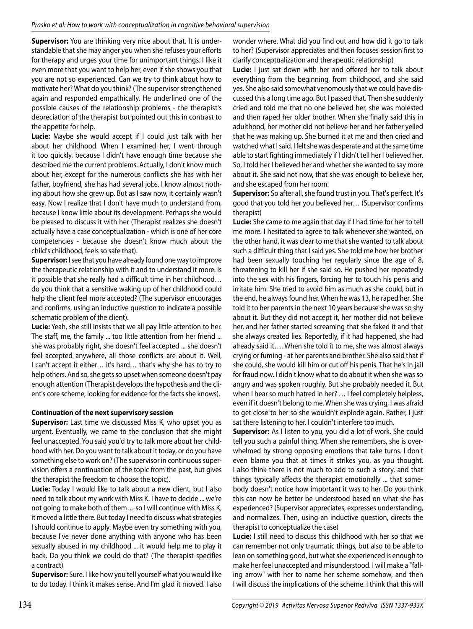**Supervisor:** You are thinking very nice about that. It is understandable that she may anger you when she refuses your efforts for therapy and urges your time for unimportant things. I like it even more that you want to help her, even if she shows you that you are not so experienced. Can we try to think about how to motivate her? What do you think? (The supervisor strengthened again and responded empathically. He underlined one of the possible causes of the relationship problems - the therapist's depreciation of the therapist but pointed out this in contrast to the appetite for help.

**Lucie:** Maybe she would accept if I could just talk with her about her childhood. When I examined her, I went through it too quickly, because I didn't have enough time because she described me the current problems. Actually, I don't know much about her, except for the numerous conflicts she has with her father, boyfriend, she has had several jobs. I know almost nothing about how she grew up. But as I saw now, it certainly wasn't easy. Now I realize that I don't have much to understand from, because I know little about its development. Perhaps she would be pleased to discuss it with her (Therapist realizes she doesn't actually have a case conceptualization - which is one of her core competencies - because she doesn't know much about the child's childhood, feels so safe that).

**Supervisor:** I see that you have already found one way to improve the therapeutic relationship with it and to understand it more. Is it possible that she really had a difficult time in her childhood… do you think that a sensitive waking up of her childhood could help the client feel more accepted? (The supervisor encourages and confirms, using an inductive question to indicate a possible schematic problem of the client).

**Lucie:** Yeah, she still insists that we all pay little attention to her. The staff, me, the family ... too little attention from her friend ... she was probably right, she doesn't feel accepted ... she doesn't feel accepted anywhere, all those conflicts are about it. Well, I can't accept it either… it's hard… that's why she has to try to help others. And so, she gets so upset when someone doesn't pay enough attention (Therapist develops the hypothesis and the client's core scheme, looking for evidence for the facts she knows).

#### **Continuation of the next supervisory session**

**Supervisor:** Last time we discussed Miss K, who upset you as urgent. Eventually, we came to the conclusion that she might feel unaccepted. You said you'd try to talk more about her childhood with her. Do you want to talk about it today, or do you have something else to work on? (The supervisor in continuous supervision offers a continuation of the topic from the past, but gives the therapist the freedom to choose the topic).

**Lucie:** Today I would like to talk about a new client, but I also need to talk about my work with Miss K. I have to decide ... we're not going to make both of them… so I will continue with Miss K, it moved a little there. But today I need to discuss what strategies I should continue to apply. Maybe even try something with you, because I've never done anything with anyone who has been sexually abused in my childhood ... it would help me to play it back. Do you think we could do that? (The therapist specifies a contract)

**Supervisor:** Sure. I like how you tell yourself what you would like to do today. I think it makes sense. And I'm glad it moved. I also wonder where. What did you find out and how did it go to talk to her? (Supervisor appreciates and then focuses session first to clarify conceptualization and therapeutic relationship)

**Lucie:** I just sat down with her and offered her to talk about everything from the beginning, from childhood, and she said yes. She also said somewhat venomously that we could have discussed this a long time ago. But I passed that. Then she suddenly cried and told me that no one believed her, she was molested and then raped her older brother. When she finally said this in adulthood, her mother did not believe her and her father yelled that he was making up. She burned it at me and then cried and watched what I said. I felt she was desperate and at the same time able to start fighting immediately if I didn't tell her I believed her. So, I told her I believed her and whether she wanted to say more about it. She said not now, that she was enough to believe her, and she escaped from her room.

**Supervisor:** So after all, she found trust in you. That's perfect. It's good that you told her you believed her… (Supervisor confirms therapist)

**Lucie:** She came to me again that day if I had time for her to tell me more. I hesitated to agree to talk whenever she wanted, on the other hand, it was clear to me that she wanted to talk about such a difficult thing that I said yes. She told me how her brother had been sexually touching her regularly since the age of 8, threatening to kill her if she said so. He pushed her repeatedly into the sex with his fingers, forcing her to touch his penis and irritate him. She tried to avoid him as much as she could, but in the end, he always found her. When he was 13, he raped her. She told it to her parents in the next 10 years because she was so shy about it. But they did not accept it, her mother did not believe her, and her father started screaming that she faked it and that she always created lies. Reportedly, if it had happened, she had already said it…. When she told it to me, she was almost always crying or fuming - at her parents and brother. She also said that if she could, she would kill him or cut off his penis. That he's in jail for fraud now. I didn't know what to do about it when she was so angry and was spoken roughly. But she probably needed it. But when I hear so much hatred in her? … I feel completely helpless, even if it doesn't belong to me. When she was crying, I was afraid to get close to her so she wouldn't explode again. Rather, I just sat there listening to her. I couldn't interfere too much.

**Supervisor:** As I listen to you, you did a lot of work. She could tell you such a painful thing. When she remembers, she is overwhelmed by strong opposing emotions that take turns. I don't even blame you that at times it strikes you, as you thought. I also think there is not much to add to such a story, and that things typically affects the therapist emotionally ... that somebody doesn't notice how important it was to her. Do you think this can now be better be understood based on what she has experienced? (Supervisor appreciates, expresses understanding, and normalizes. Then, using an inductive question, directs the therapist to conceptualize the case)

**Lucie:** I still need to discuss this childhood with her so that we can remember not only traumatic things, but also to be able to lean on something good, but what she experienced is enough to make her feel unaccepted and misunderstood. I will make a "falling arrow" with her to name her scheme somehow, and then I will discuss the implications of the scheme. I think that this will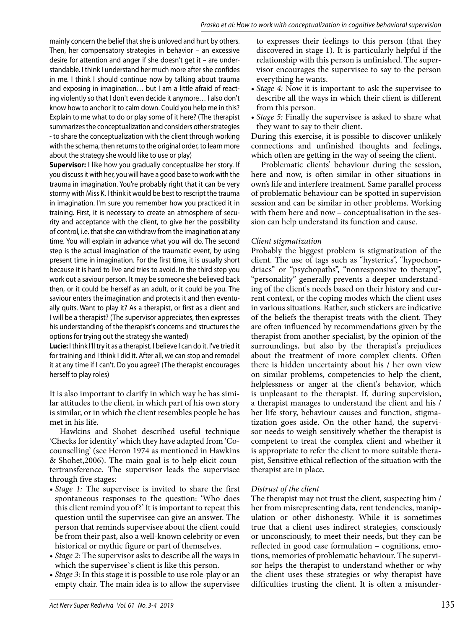mainly concern the belief that she is unloved and hurt by others. Then, her compensatory strategies in behavior – an excessive desire for attention and anger if she doesn't get it – are understandable. I think I understand her much more after she confides in me. I think I should continue now by talking about trauma and exposing in imagination… but I am a little afraid of reacting violently so that I don't even decide it anymore… I also don't know how to anchor it to calm down. Could you help me in this? Explain to me what to do or play some of it here? (The therapist summarizes the conceptualization and considers other strategies - to share the conceptualization with the client through working with the schema, then returns to the original order, to learn more about the strategy she would like to use or play)

**Supervisor:** I like how you gradually conceptualize her story. If you discuss it with her, you will have a good base to work with the trauma in imagination. You're probably right that it can be very stormy with Miss K. I think it would be best to rescript the trauma in imagination. I'm sure you remember how you practiced it in training. First, it is necessary to create an atmosphere of security and acceptance with the client, to give her the possibility of control, i.e. that she can withdraw from the imagination at any time. You will explain in advance what you will do. The second step is the actual imagination of the traumatic event, by using present time in imagination. For the first time, it is usually short because it is hard to live and tries to avoid. In the third step you work out a saviour person. It may be someone she believed back then, or it could be herself as an adult, or it could be you. The saviour enters the imagination and protects it and then eventually quits. Want to play it? As a therapist, or first as a client and I will be a therapist? (The supervisor appreciates, then expresses his understanding of the therapist's concerns and structures the options for trying out the strategy she wanted)

**Lucie:** I think I'll try it as a therapist. I believe I can do it. I've tried it for training and I think I did it. After all, we can stop and remodel it at any time if I can't. Do you agree? (The therapist encourages herself to play roles)

It is also important to clarify in which way he has similar attitudes to the client, in which part of his own story is similar, or in which the client resembles people he has met in his life.

Hawkins and Shohet described useful technique 'Checks for identity' which they have adapted from 'Cocounselling' (see Heron 1974 as mentioned in Hawkins & Shohet,2006). The main goal is to help elicit countertransference. The supervisor leads the supervisee through five stages:

- *Stage 1:* The supervisee is invited to share the first spontaneous responses to the question: 'Who does this client remind you of?' It is important to repeat this question until the supervisee can give an answer. The person that reminds supervisee about the client could be from their past, also a well-known celebrity or even historical or mythic figure or part of themselves.
- *Stage 2:* The supervisor asks to describe all the ways in which the supervisee`s client is like this person.
- *Stage 3:* In this stage it is possible to use role-play or an empty chair. The main idea is to allow the supervisee

to expresses their feelings to this person (that they discovered in stage 1). It is particularly helpful if the relationship with this person is unfinished. The supervisor encourages the supervisee to say to the person everything he wants.

- *Stage 4:* Now it is important to ask the supervisee to describe all the ways in which their client is different from this person.
- *Stage 5:* Finally the supervisee is asked to share what they want to say to their client.

During this exercise, it is possible to discover unlikely connections and unfinished thoughts and feelings, which often are getting in the way of seeing the client.

Problematic clients' behaviour during the session, here and now, is often similar in other situations in own's life and interfere treatment. Same parallel process of problematic behaviour can be spotted in supervision session and can be similar in other problems. Working with them here and now – conceptualisation in the session can help understand its function and cause.

#### *Client stigmatization*

Probably the biggest problem is stigmatization of the client. The use of tags such as "hysterics", "hypochondriacs" or "psychopaths", "nonresponsive to therapy", "personality" generally prevents a deeper understanding of the client's needs based on their history and current context, or the coping modes which the client uses in various situations. Rather, such stickers are indicative of the beliefs the therapist treats with the client. They are often influenced by recommendations given by the therapist from another specialist, by the opinion of the surroundings, but also by the therapist's prejudices about the treatment of more complex clients. Often there is hidden uncertainty about his / her own view on similar problems, competencies to help the client, helplessness or anger at the client's behavior, which is unpleasant to the therapist. If, during supervision, a therapist manages to understand the client and his / her life story, behaviour causes and function, stigmatization goes aside. On the other hand, the supervisor needs to weigh sensitively whether the therapist is competent to treat the complex client and whether it is appropriate to refer the client to more suitable therapist, Sensitive ethical reflection of the situation with the therapist are in place.

## *Distrust of the client*

The therapist may not trust the client, suspecting him / her from misrepresenting data, rent tendencies, manipulation or other dishonesty. While it is sometimes true that a client uses indirect strategies, consciously or unconsciously, to meet their needs, but they can be reflected in good case formulation – cognitions, emotions, memories of problematic behaviour. The supervisor helps the therapist to understand whether or why the client uses these strategies or why therapist have difficulties trusting the client. It is often a misunder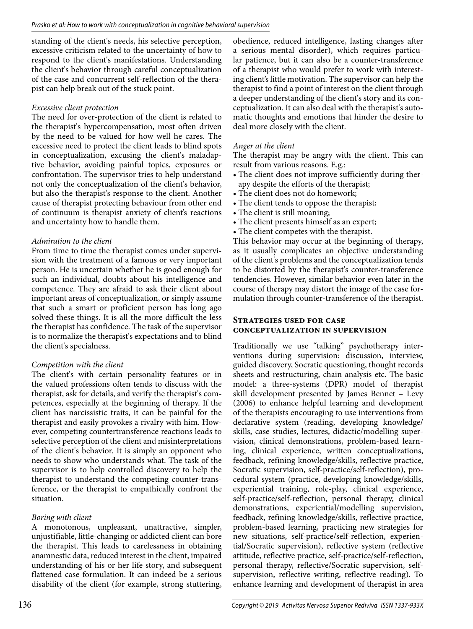standing of the client's needs, his selective perception, excessive criticism related to the uncertainty of how to respond to the client's manifestations. Understanding the client's behavior through careful conceptualization of the case and concurrent self-reflection of the therapist can help break out of the stuck point.

# *Excessive client protection*

The need for over-protection of the client is related to the therapist's hypercompensation, most often driven by the need to be valued for how well he cares. The excessive need to protect the client leads to blind spots in conceptualization, excusing the client's maladaptive behavior, avoiding painful topics, exposures or confrontation. The supervisor tries to help understand not only the conceptualization of the client's behavior, but also the therapist's response to the client. Another cause of therapist protecting behaviour from other end of continuum is therapist anxiety of client's reactions and uncertainty how to handle them.

# *Admiration to the client*

From time to time the therapist comes under supervision with the treatment of a famous or very important person. He is uncertain whether he is good enough for such an individual, doubts about his intelligence and competence. They are afraid to ask their client about important areas of conceptualization, or simply assume that such a smart or proficient person has long ago solved these things. It is all the more difficult the less the therapist has confidence. The task of the supervisor is to normalize the therapist's expectations and to blind the client's specialness.

# *Competition with the client*

The client's with certain personality features or in the valued professions often tends to discuss with the therapist, ask for details, and verify the therapist's competences, especially at the beginning of therapy. If the client has narcissistic traits, it can be painful for the therapist and easily provokes a rivalry with him. However, competing countertransference reactions leads to selective perception of the client and misinterpretations of the client's behavior. It is simply an opponent who needs to show who understands what. The task of the supervisor is to help controlled discovery to help the therapist to understand the competing counter-transference, or the therapist to empathically confront the situation.

# *Boring with client*

A monotonous, unpleasant, unattractive, simpler, unjustifiable, little-changing or addicted client can bore the therapist. This leads to carelessness in obtaining anamnestic data, reduced interest in the client, impaired understanding of his or her life story, and subsequent flattened case formulation. It can indeed be a serious disability of the client (for example, strong stuttering,

obedience, reduced intelligence, lasting changes after a serious mental disorder), which requires particular patience, but it can also be a counter-transference of a therapist who would prefer to work with interesting client's little motivation. The supervisor can help the therapist to find a point of interest on the client through a deeper understanding of the client's story and its conceptualization. It can also deal with the therapist's automatic thoughts and emotions that hinder the desire to deal more closely with the client.

# *Anger at the client*

The therapist may be angry with the client. This can result from various reasons. E.g.:

- The client does not improve sufficiently during therapy despite the efforts of the therapist;
- The client does not do homework;
- The client tends to oppose the therapist;
- The client is still moaning;
- The client presents himself as an expert;
- The client competes with the therapist.

This behavior may occur at the beginning of therapy, as it usually complicates an objective understanding of the client's problems and the conceptualization tends to be distorted by the therapist's counter-transference tendencies. However, similar behavior even later in the course of therapy may distort the image of the case formulation through counter-transference of the therapist.

#### **Strategies used for case conceptualization in supervision**

Traditionally we use "talking" psychotherapy interventions during supervision: discussion, interview, guided discovery, Socratic questioning, thought records sheets and restructuring, chain analysis etc. The basic model: a three-systems (DPR) model of therapist skill development presented by James Bennet – Levy (2006) to enhance helpful learning and development of the therapists encouraging to use interventions from declarative system (reading, developing knowledge/ skills, case studies, lectures, didactic/modelling supervision, clinical demonstrations, problem-based learning, clinical experience, written conceptualizations, feedback, refining knowledge/skills, reflective practice, Socratic supervision, self-practice/self-reflection), procedural system (practice, developing knowledge/skills, experiential training, role-play, clinical experience, self-practice/self-reflection, personal therapy, clinical demonstrations, experiential/modelling supervision, feedback, refining knowledge/skills, reflective practice, problem-based learning, practicing new strategies for new situations, self-practice/self-reflection, experiential/Socratic supervision), reflective system (reflective attitude, reflective practice, self-practice/self-reflection, personal therapy, reflective/Socratic supervision, selfsupervision, reflective writing, reflective reading). To enhance learning and development of therapist in area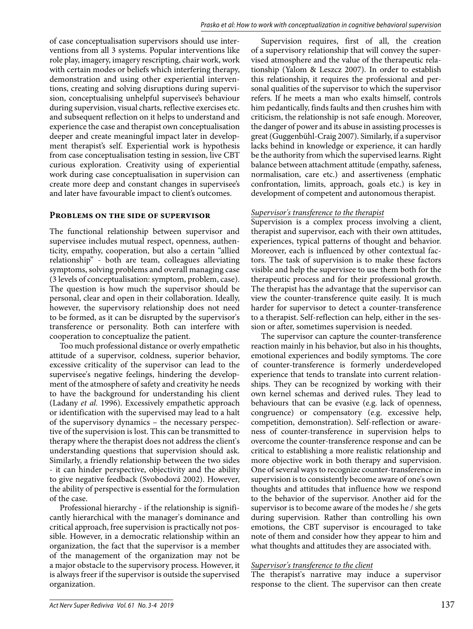of case conceptualisation supervisors should use interventions from all 3 systems. Popular interventions like role play, imagery, imagery rescripting, chair work, work with certain modes or beliefs which interfering therapy, demonstration and using other experiential interventions, creating and solving disruptions during supervision, conceptualising unhelpful supervisee's behaviour during supervision, visual charts, reflective exercises etc. and subsequent reflection on it helps to understand and experience the case and therapist own conceptualisation deeper and create meaningful impact later in development therapist's self. Experiential work is hypothesis from case conceptualisation testing in session, live CBT curious exploration. Creativity using of experiential work during case conceptualisation in supervision can create more deep and constant changes in supervisee's and later have favourable impact to client's outcomes.

#### **Problems on the side of supervisor**

The functional relationship between supervisor and supervisee includes mutual respect, openness, authenticity, empathy, cooperation, but also a certain "allied relationship" - both are team, colleagues alleviating symptoms, solving problems and overall managing case (3 levels of conceptualisation: symptom, problem, case). The question is how much the supervisor should be personal, clear and open in their collaboration. Ideally, however, the supervisory relationship does not need to be formed, as it can be disrupted by the supervisor's transference or personality. Both can interfere with cooperation to conceptualize the patient.

Too much professional distance or overly empathetic attitude of a supervisor, coldness, superior behavior, excessive criticality of the supervisor can lead to the supervisee's negative feelings, hindering the development of the atmosphere of safety and creativity he needs to have the background for understanding his client (Ladany *et al.* 1996). Excessively empathetic approach or identification with the supervised may lead to a halt of the supervisory dynamics – the necessary perspective of the supervision is lost. This can be transmitted to therapy where the therapist does not address the client's understanding questions that supervision should ask. Similarly, a friendly relationship between the two sides - it can hinder perspective, objectivity and the ability to give negative feedback (Svobodová 2002). However, the ability of perspective is essential for the formulation of the case.

Professional hierarchy - if the relationship is significantly hierarchical with the manager's dominance and critical approach, free supervision is practically not possible. However, in a democratic relationship within an organization, the fact that the supervisor is a member of the management of the organization may not be a major obstacle to the supervisory process. However, it is always freer if the supervisor is outside the supervised organization.

Supervision requires, first of all, the creation of a supervisory relationship that will convey the supervised atmosphere and the value of the therapeutic relationship (Yalom & Leszcz 2007). In order to establish this relationship, it requires the professional and personal qualities of the supervisor to which the supervisor refers. If he meets a man who exalts himself, controls him pedantically, finds faults and then crushes him with criticism, the relationship is not safe enough. Moreover, the danger of power and its abuse in assisting processes is great (Guggenbühl-Craig 2007). Similarly, if a supervisor lacks behind in knowledge or experience, it can hardly be the authority from which the supervised learns. Right balance between attachment attitude (empathy, safeness, normalisation, care etc.) and assertiveness (emphatic confrontation, limits, approach, goals etc.) is key in development of competent and autonomous therapist.

#### *Supervisor's transference to the therapist*

Supervision is a complex process involving a client, therapist and supervisor, each with their own attitudes, experiences, typical patterns of thought and behavior. Moreover, each is influenced by other contextual factors. The task of supervision is to make these factors visible and help the supervisee to use them both for the therapeutic process and for their professional growth. The therapist has the advantage that the supervisor can view the counter-transference quite easily. It is much harder for supervisor to detect a counter-transference to a therapist. Self-reflection can help, either in the session or after, sometimes supervision is needed.

The supervisor can capture the counter-transference reaction mainly in his behavior, but also in his thoughts, emotional experiences and bodily symptoms. The core of counter-transference is formerly underdeveloped experience that tends to translate into current relationships. They can be recognized by working with their own kernel schemas and derived rules. They lead to behaviours that can be evasive (e.g. lack of openness, congruence) or compensatory (e.g. excessive help, competition, demonstration). Self-reflection or awareness of counter-transference in supervision helps to overcome the counter-transference response and can be critical to establishing a more realistic relationship and more objective work in both therapy and supervision. One of several ways to recognize counter-transference in supervision is to consistently become aware of one's own thoughts and attitudes that influence how we respond to the behavior of the supervisor. Another aid for the supervisor is to become aware of the modes he / she gets during supervision. Rather than controlling his own emotions, the CBT supervisor is encouraged to take note of them and consider how they appear to him and what thoughts and attitudes they are associated with.

#### *Supervisor's transference to the client*

The therapist's narrative may induce a supervisor response to the client. The supervisor can then create